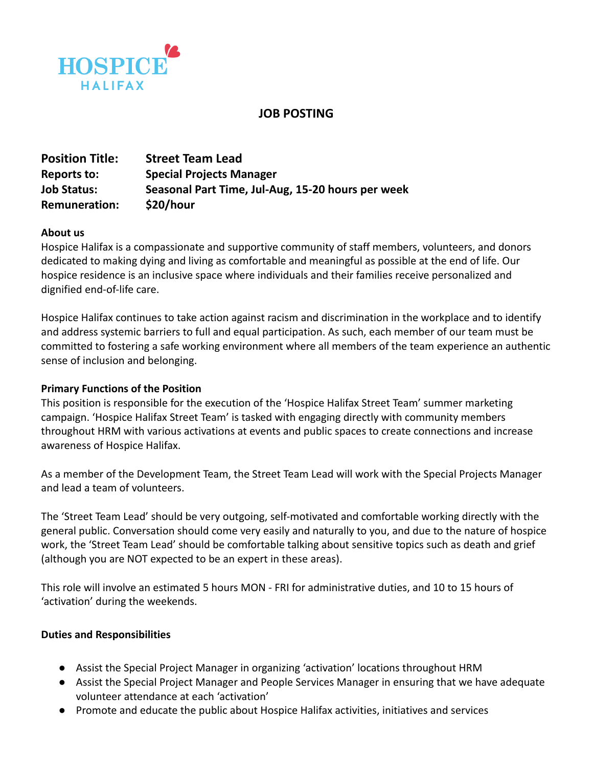

# **JOB POSTING**

| <b>Position Title:</b> | <b>Street Team Lead</b>                           |
|------------------------|---------------------------------------------------|
| <b>Reports to:</b>     | <b>Special Projects Manager</b>                   |
| <b>Job Status:</b>     | Seasonal Part Time, Jul-Aug, 15-20 hours per week |
| <b>Remuneration:</b>   | \$20/hour                                         |

#### **About us**

Hospice Halifax is a compassionate and supportive community of staff members, volunteers, and donors dedicated to making dying and living as comfortable and meaningful as possible at the end of life. Our hospice residence is an inclusive space where individuals and their families receive personalized and dignified end-of-life care.

Hospice Halifax continues to take action against racism and discrimination in the workplace and to identify and address systemic barriers to full and equal participation. As such, each member of our team must be committed to fostering a safe working environment where all members of the team experience an authentic sense of inclusion and belonging.

#### **Primary Functions of the Position**

This position is responsible for the execution of the 'Hospice Halifax Street Team' summer marketing campaign. 'Hospice Halifax Street Team' is tasked with engaging directly with community members throughout HRM with various activations at events and public spaces to create connections and increase awareness of Hospice Halifax.

As a member of the Development Team, the Street Team Lead will work with the Special Projects Manager and lead a team of volunteers.

The 'Street Team Lead' should be very outgoing, self-motivated and comfortable working directly with the general public. Conversation should come very easily and naturally to you, and due to the nature of hospice work, the 'Street Team Lead' should be comfortable talking about sensitive topics such as death and grief (although you are NOT expected to be an expert in these areas).

This role will involve an estimated 5 hours MON - FRI for administrative duties, and 10 to 15 hours of 'activation' during the weekends.

#### **Duties and Responsibilities**

- Assist the Special Project Manager in organizing 'activation' locations throughout HRM
- Assist the Special Project Manager and People Services Manager in ensuring that we have adequate volunteer attendance at each 'activation'
- Promote and educate the public about Hospice Halifax activities, initiatives and services